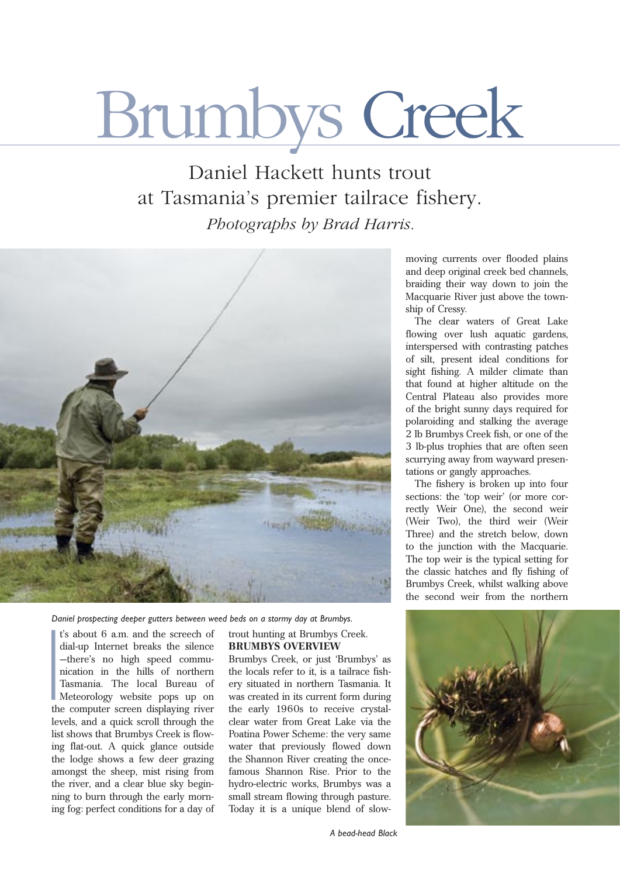# Brumbys Creek

Daniel Hackett hunts trout at Tasmania's premier tailrace fishery. *Photographs by Brad Harris.*



*Daniel prospecting deeper gutters between weed beds on a stormy day at Brumbys.*

I t's about 6 a.m. and the screech of dial-up Internet breaks the silence —there's no high speed communication in the hills of northern Tasmania. The local Bureau of Meteorology website pops up on the computer screen displaying river levels, and a quick scroll through the list shows that Brumbys Creek is flowing flat-out. A quick glance outside the lodge shows a few deer grazing amongst the sheep, mist rising from the river, and a clear blue sky beginning to burn through the early morning fog: perfect conditions for a day of

#### trout hunting at Brumbys Creek. **BRUMBYS OVERVIEW**

Brumbys Creek, or just 'Brumbys' as the locals refer to it, is a tailrace fishery situated in northern Tasmania. It was created in its current form during the early 1960s to receive crystalclear water from Great Lake via the Poatina Power Scheme: the very same water that previously flowed down the Shannon River creating the oncefamous Shannon Rise. Prior to the hydro-electric works, Brumbys was a small stream flowing through pasture. Today it is a unique blend of slowmoving currents over flooded plains and deep original creek bed channels, braiding their way down to join the Macquarie River just above the township of Cressy.

The clear waters of Great Lake flowing over lush aquatic gardens, interspersed with contrasting patches of silt, present ideal conditions for sight fishing. A milder climate than that found at higher altitude on the Central Plateau also provides more of the bright sunny days required for polaroiding and stalking the average 2 lb Brumbys Creek fish, or one of the 3 lb-plus trophies that are often seen scurrying away from wayward presentations or gangly approaches.

The fishery is broken up into four sections: the 'top weir' (or more correctly Weir One), the second weir (Weir Two), the third weir (Weir Three) and the stretch below, down to the junction with the Macquarie. The top weir is the typical setting for the classic hatches and fly fishing of Brumbys Creek, whilst walking above the second weir from the northern



*A bead-head Black*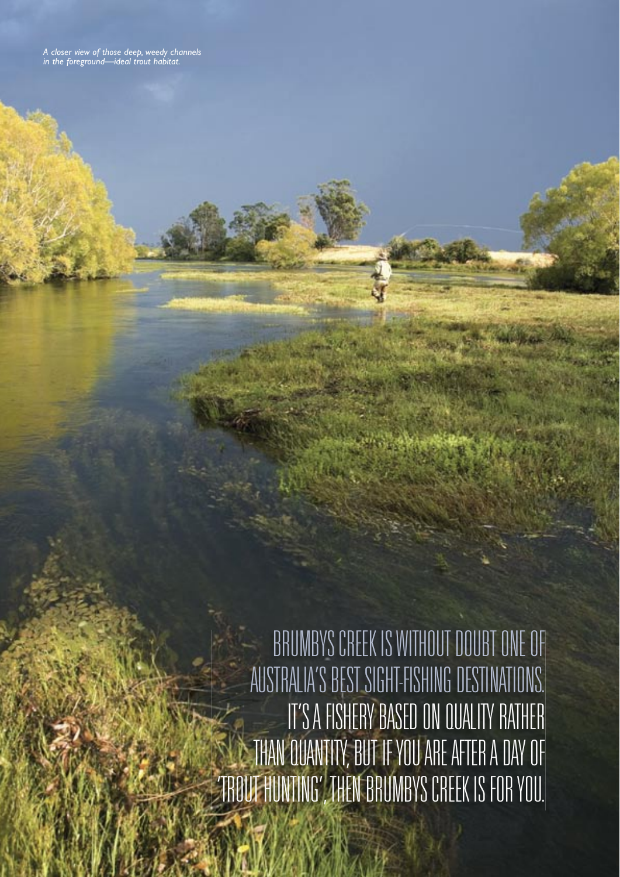*A closer view of those deep, weedy channels in the foreground—ideal trout habitat.*

> BRUMBYS CREEK IS WITHOUT DOUBT ONE OF AUSTRALIA'S BEST SIGHT-FISHING DESTINATIONS. IT'S A FISHERY BASED ON QUALITY RATHER THAN QUANTITY, BUT IF YOU ARE AFTER A DAY OF 'TROUT HUNTING', THEN BRUMBYS CREEK IS FOR YOU.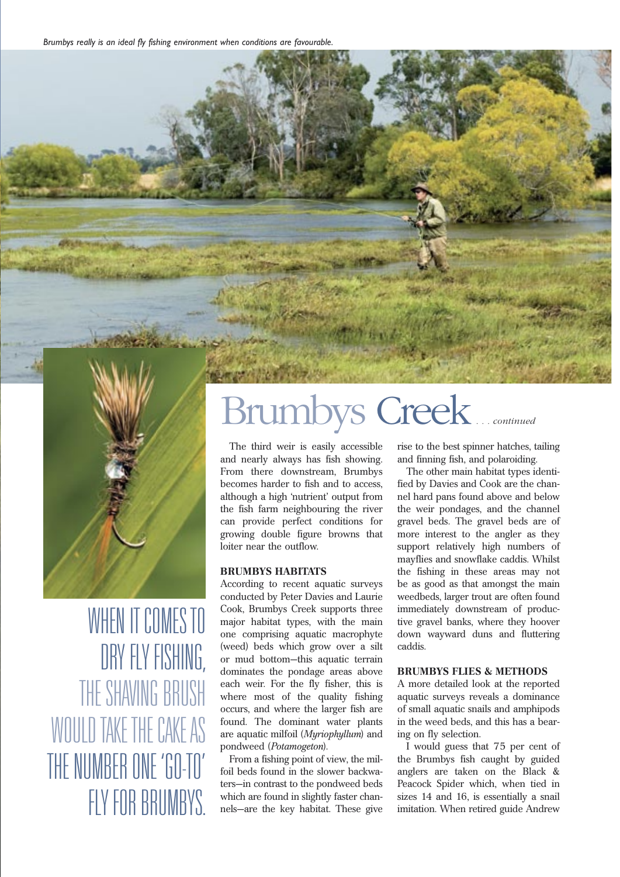

WHEN IT COMES TO DRY FLY FISHING, THE SHAVING BRUSH WOULD TAKE THE CAKE AS THE NUMBER ONE 'GO-TO' FLY FOR BRUMBYS.

## Brumbys Creek*. . . continued*

The third weir is easily accessible and nearly always has fish showing. From there downstream, Brumbys becomes harder to fish and to access, although a high 'nutrient' output from the fish farm neighbouring the river can provide perfect conditions for growing double figure browns that loiter near the outflow.

#### **BRUMBYS HABITATS**

According to recent aquatic surveys conducted by Peter Davies and Laurie Cook, Brumbys Creek supports three major habitat types, with the main one comprising aquatic macrophyte (weed) beds which grow over a silt or mud bottom—this aquatic terrain dominates the pondage areas above each weir. For the fly fisher, this is where most of the quality fishing occurs, and where the larger fish are found. The dominant water plants are aquatic milfoil (*Myriophyllum*) and pondweed (*Potamogeton*).

From a fishing point of view, the milfoil beds found in the slower backwaters—in contrast to the pondweed beds which are found in slightly faster channels—are the key habitat. These give rise to the best spinner hatches, tailing and finning fish, and polaroiding.

The other main habitat types identified by Davies and Cook are the channel hard pans found above and below the weir pondages, and the channel gravel beds. The gravel beds are of more interest to the angler as they support relatively high numbers of mayflies and snowflake caddis. Whilst the fishing in these areas may not be as good as that amongst the main weedbeds, larger trout are often found immediately downstream of productive gravel banks, where they hoover down wayward duns and fluttering caddis.

#### **BRUMBYS FLIES & METHODS**

A more detailed look at the reported aquatic surveys reveals a dominance of small aquatic snails and amphipods in the weed beds, and this has a bearing on fly selection.

I would guess that 75 per cent of the Brumbys fish caught by guided anglers are taken on the Black & Peacock Spider which, when tied in sizes 14 and 16, is essentially a snail imitation. When retired guide Andrew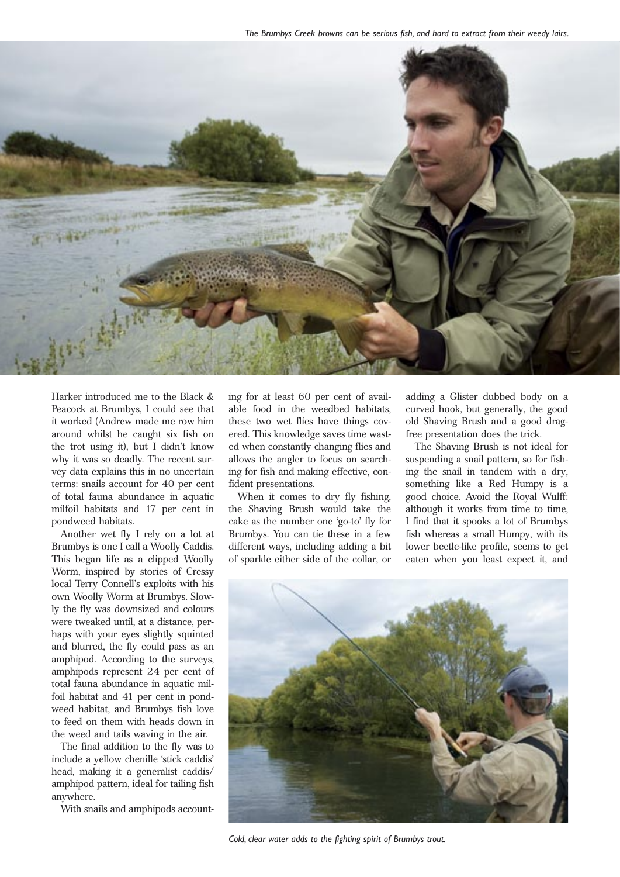

Harker introduced me to the Black & Peacock at Brumbys, I could see that it worked (Andrew made me row him around whilst he caught six fish on the trot using it), but I didn't know why it was so deadly. The recent survey data explains this in no uncertain terms: snails account for 40 per cent of total fauna abundance in aquatic milfoil habitats and 17 per cent in pondweed habitats.

Another wet fly I rely on a lot at Brumbys is one I call a Woolly Caddis. This began life as a clipped Woolly Worm, inspired by stories of Cressy local Terry Connell's exploits with his own Woolly Worm at Brumbys. Slowly the fly was downsized and colours were tweaked until, at a distance, perhaps with your eyes slightly squinted and blurred, the fly could pass as an amphipod. According to the surveys, amphipods represent 24 per cent of total fauna abundance in aquatic milfoil habitat and 41 per cent in pondweed habitat, and Brumbys fish love to feed on them with heads down in the weed and tails waving in the air.

The final addition to the fly was to include a yellow chenille 'stick caddis' head, making it a generalist caddis/ amphipod pattern, ideal for tailing fish anywhere.

With snails and amphipods account-

ing for at least 60 per cent of available food in the weedbed habitats, these two wet flies have things covered. This knowledge saves time wasted when constantly changing flies and allows the angler to focus on searching for fish and making effective, confident presentations.

When it comes to dry fly fishing, the Shaving Brush would take the cake as the number one 'go-to' fly for Brumbys. You can tie these in a few different ways, including adding a bit of sparkle either side of the collar, or

adding a Glister dubbed body on a curved hook, but generally, the good old Shaving Brush and a good dragfree presentation does the trick.

The Shaving Brush is not ideal for suspending a snail pattern, so for fishing the snail in tandem with a dry, something like a Red Humpy is a good choice. Avoid the Royal Wulff: although it works from time to time, I find that it spooks a lot of Brumbys fish whereas a small Humpy, with its lower beetle-like profile, seems to get eaten when you least expect it, and



*Cold, clear water adds to the fighting spirit of Brumbys trout.*